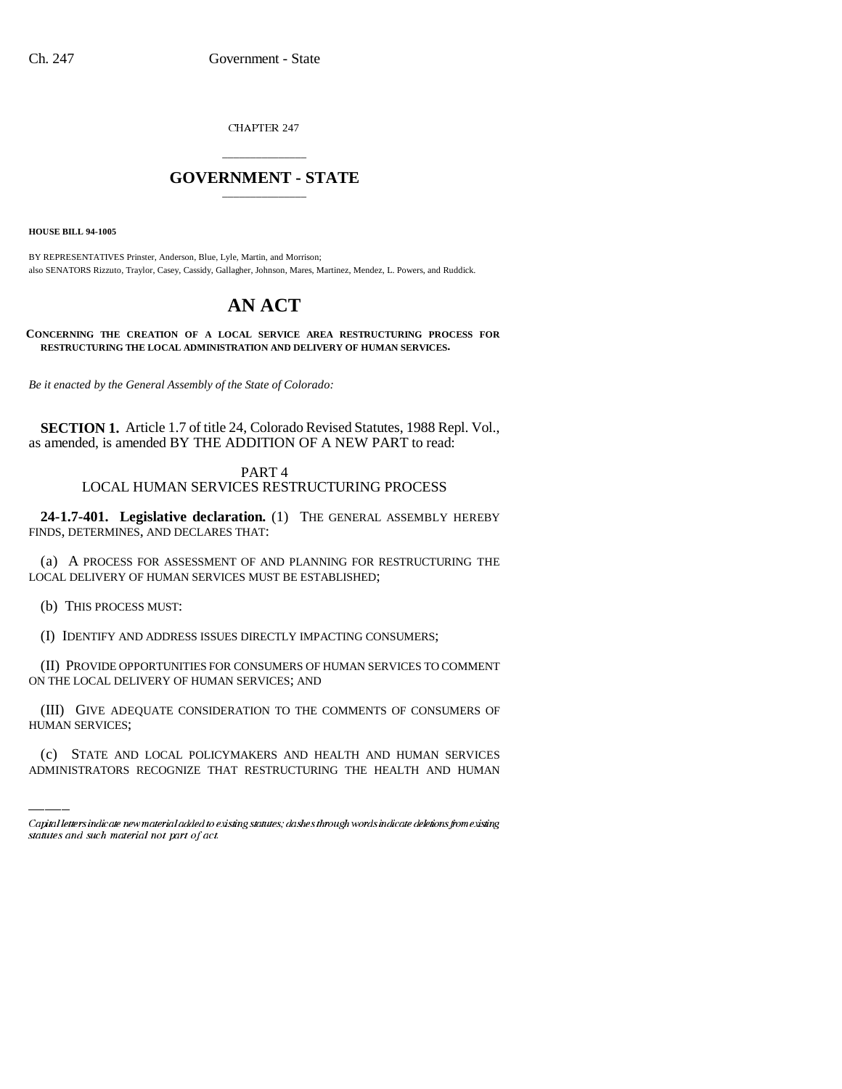CHAPTER 247

## \_\_\_\_\_\_\_\_\_\_\_\_\_\_\_ **GOVERNMENT - STATE** \_\_\_\_\_\_\_\_\_\_\_\_\_\_\_

**HOUSE BILL 94-1005**

BY REPRESENTATIVES Prinster, Anderson, Blue, Lyle, Martin, and Morrison; also SENATORS Rizzuto, Traylor, Casey, Cassidy, Gallagher, Johnson, Mares, Martinez, Mendez, L. Powers, and Ruddick.

# **AN ACT**

**CONCERNING THE CREATION OF A LOCAL SERVICE AREA RESTRUCTURING PROCESS FOR RESTRUCTURING THE LOCAL ADMINISTRATION AND DELIVERY OF HUMAN SERVICES.**

*Be it enacted by the General Assembly of the State of Colorado:*

**SECTION 1.** Article 1.7 of title 24, Colorado Revised Statutes, 1988 Repl. Vol., as amended, is amended BY THE ADDITION OF A NEW PART to read:

> PART 4 LOCAL HUMAN SERVICES RESTRUCTURING PROCESS

**24-1.7-401. Legislative declaration.** (1) THE GENERAL ASSEMBLY HEREBY FINDS, DETERMINES, AND DECLARES THAT:

(a) A PROCESS FOR ASSESSMENT OF AND PLANNING FOR RESTRUCTURING THE LOCAL DELIVERY OF HUMAN SERVICES MUST BE ESTABLISHED;

(b) THIS PROCESS MUST:

(I) IDENTIFY AND ADDRESS ISSUES DIRECTLY IMPACTING CONSUMERS;

(II) PROVIDE OPPORTUNITIES FOR CONSUMERS OF HUMAN SERVICES TO COMMENT ON THE LOCAL DELIVERY OF HUMAN SERVICES; AND

(III) GIVE ADEQUATE CONSIDERATION TO THE COMMENTS OF CONSUMERS OF HUMAN SERVICES;

(c) STATE AND LOCAL POLICYMAKERS AND HEALTH AND HUMAN SERVICES ADMINISTRATORS RECOGNIZE THAT RESTRUCTURING THE HEALTH AND HUMAN

Capital letters indicate new material added to existing statutes; dashes through words indicate deletions from existing statutes and such material not part of act.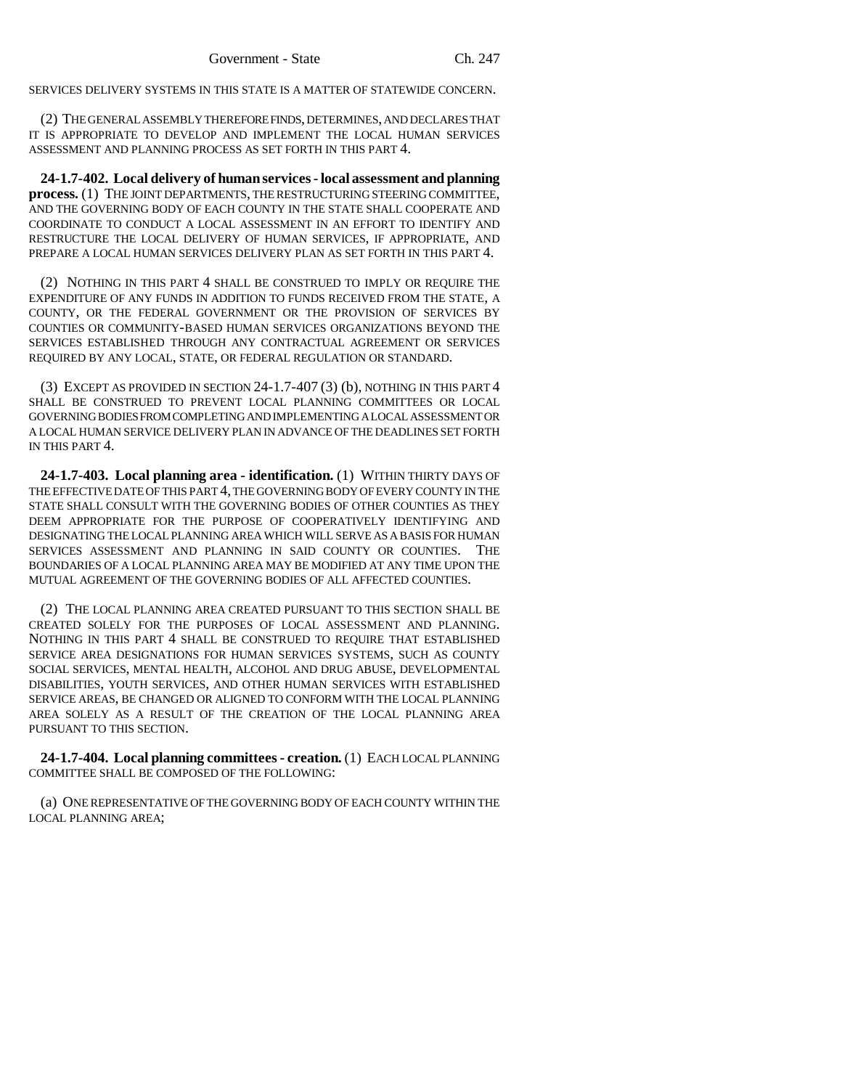SERVICES DELIVERY SYSTEMS IN THIS STATE IS A MATTER OF STATEWIDE CONCERN.

(2) THE GENERAL ASSEMBLY THEREFORE FINDS, DETERMINES, AND DECLARES THAT IT IS APPROPRIATE TO DEVELOP AND IMPLEMENT THE LOCAL HUMAN SERVICES ASSESSMENT AND PLANNING PROCESS AS SET FORTH IN THIS PART 4.

**24-1.7-402. Local delivery of human services - local assessment and planning process.** (1) THE JOINT DEPARTMENTS, THE RESTRUCTURING STEERING COMMITTEE, AND THE GOVERNING BODY OF EACH COUNTY IN THE STATE SHALL COOPERATE AND COORDINATE TO CONDUCT A LOCAL ASSESSMENT IN AN EFFORT TO IDENTIFY AND RESTRUCTURE THE LOCAL DELIVERY OF HUMAN SERVICES, IF APPROPRIATE, AND PREPARE A LOCAL HUMAN SERVICES DELIVERY PLAN AS SET FORTH IN THIS PART 4.

(2) NOTHING IN THIS PART 4 SHALL BE CONSTRUED TO IMPLY OR REQUIRE THE EXPENDITURE OF ANY FUNDS IN ADDITION TO FUNDS RECEIVED FROM THE STATE, A COUNTY, OR THE FEDERAL GOVERNMENT OR THE PROVISION OF SERVICES BY COUNTIES OR COMMUNITY-BASED HUMAN SERVICES ORGANIZATIONS BEYOND THE SERVICES ESTABLISHED THROUGH ANY CONTRACTUAL AGREEMENT OR SERVICES REQUIRED BY ANY LOCAL, STATE, OR FEDERAL REGULATION OR STANDARD.

(3) EXCEPT AS PROVIDED IN SECTION 24-1.7-407 (3) (b), NOTHING IN THIS PART 4 SHALL BE CONSTRUED TO PREVENT LOCAL PLANNING COMMITTEES OR LOCAL GOVERNING BODIES FROM COMPLETING AND IMPLEMENTING A LOCAL ASSESSMENT OR A LOCAL HUMAN SERVICE DELIVERY PLAN IN ADVANCE OF THE DEADLINES SET FORTH IN THIS PART 4.

**24-1.7-403. Local planning area - identification.** (1) WITHIN THIRTY DAYS OF THE EFFECTIVE DATE OF THIS PART 4, THE GOVERNING BODY OF EVERY COUNTY IN THE STATE SHALL CONSULT WITH THE GOVERNING BODIES OF OTHER COUNTIES AS THEY DEEM APPROPRIATE FOR THE PURPOSE OF COOPERATIVELY IDENTIFYING AND DESIGNATING THE LOCAL PLANNING AREA WHICH WILL SERVE AS A BASIS FOR HUMAN SERVICES ASSESSMENT AND PLANNING IN SAID COUNTY OR COUNTIES. THE BOUNDARIES OF A LOCAL PLANNING AREA MAY BE MODIFIED AT ANY TIME UPON THE MUTUAL AGREEMENT OF THE GOVERNING BODIES OF ALL AFFECTED COUNTIES.

(2) THE LOCAL PLANNING AREA CREATED PURSUANT TO THIS SECTION SHALL BE CREATED SOLELY FOR THE PURPOSES OF LOCAL ASSESSMENT AND PLANNING. NOTHING IN THIS PART 4 SHALL BE CONSTRUED TO REQUIRE THAT ESTABLISHED SERVICE AREA DESIGNATIONS FOR HUMAN SERVICES SYSTEMS, SUCH AS COUNTY SOCIAL SERVICES, MENTAL HEALTH, ALCOHOL AND DRUG ABUSE, DEVELOPMENTAL DISABILITIES, YOUTH SERVICES, AND OTHER HUMAN SERVICES WITH ESTABLISHED SERVICE AREAS, BE CHANGED OR ALIGNED TO CONFORM WITH THE LOCAL PLANNING AREA SOLELY AS A RESULT OF THE CREATION OF THE LOCAL PLANNING AREA PURSUANT TO THIS SECTION.

**24-1.7-404. Local planning committees - creation.** (1) EACH LOCAL PLANNING COMMITTEE SHALL BE COMPOSED OF THE FOLLOWING:

(a) ONE REPRESENTATIVE OF THE GOVERNING BODY OF EACH COUNTY WITHIN THE LOCAL PLANNING AREA;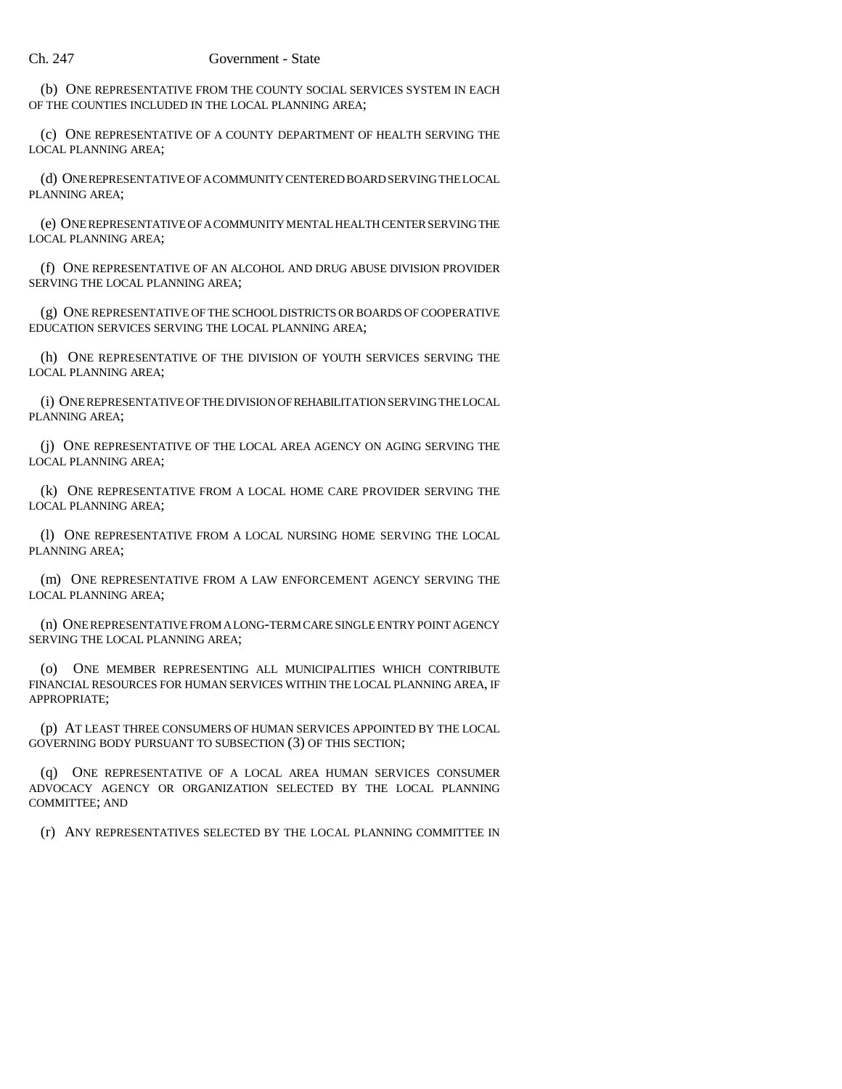(b) ONE REPRESENTATIVE FROM THE COUNTY SOCIAL SERVICES SYSTEM IN EACH OF THE COUNTIES INCLUDED IN THE LOCAL PLANNING AREA;

(c) ONE REPRESENTATIVE OF A COUNTY DEPARTMENT OF HEALTH SERVING THE LOCAL PLANNING AREA;

(d) ONE REPRESENTATIVE OF A COMMUNITY CENTERED BOARD SERVING THE LOCAL PLANNING AREA;

(e) ONE REPRESENTATIVE OF A COMMUNITY MENTAL HEALTH CENTER SERVING THE LOCAL PLANNING AREA;

(f) ONE REPRESENTATIVE OF AN ALCOHOL AND DRUG ABUSE DIVISION PROVIDER SERVING THE LOCAL PLANNING AREA;

(g) ONE REPRESENTATIVE OF THE SCHOOL DISTRICTS OR BOARDS OF COOPERATIVE EDUCATION SERVICES SERVING THE LOCAL PLANNING AREA;

(h) ONE REPRESENTATIVE OF THE DIVISION OF YOUTH SERVICES SERVING THE LOCAL PLANNING AREA;

(i) ONE REPRESENTATIVE OF THE DIVISION OF REHABILITATION SERVING THE LOCAL PLANNING AREA;

(j) ONE REPRESENTATIVE OF THE LOCAL AREA AGENCY ON AGING SERVING THE LOCAL PLANNING AREA;

(k) ONE REPRESENTATIVE FROM A LOCAL HOME CARE PROVIDER SERVING THE LOCAL PLANNING AREA;

(l) ONE REPRESENTATIVE FROM A LOCAL NURSING HOME SERVING THE LOCAL PLANNING AREA;

(m) ONE REPRESENTATIVE FROM A LAW ENFORCEMENT AGENCY SERVING THE LOCAL PLANNING AREA;

(n) ONE REPRESENTATIVE FROM A LONG-TERM CARE SINGLE ENTRY POINT AGENCY SERVING THE LOCAL PLANNING AREA;

(o) ONE MEMBER REPRESENTING ALL MUNICIPALITIES WHICH CONTRIBUTE FINANCIAL RESOURCES FOR HUMAN SERVICES WITHIN THE LOCAL PLANNING AREA, IF APPROPRIATE;

(p) AT LEAST THREE CONSUMERS OF HUMAN SERVICES APPOINTED BY THE LOCAL GOVERNING BODY PURSUANT TO SUBSECTION (3) OF THIS SECTION;

(q) ONE REPRESENTATIVE OF A LOCAL AREA HUMAN SERVICES CONSUMER ADVOCACY AGENCY OR ORGANIZATION SELECTED BY THE LOCAL PLANNING COMMITTEE; AND

(r) ANY REPRESENTATIVES SELECTED BY THE LOCAL PLANNING COMMITTEE IN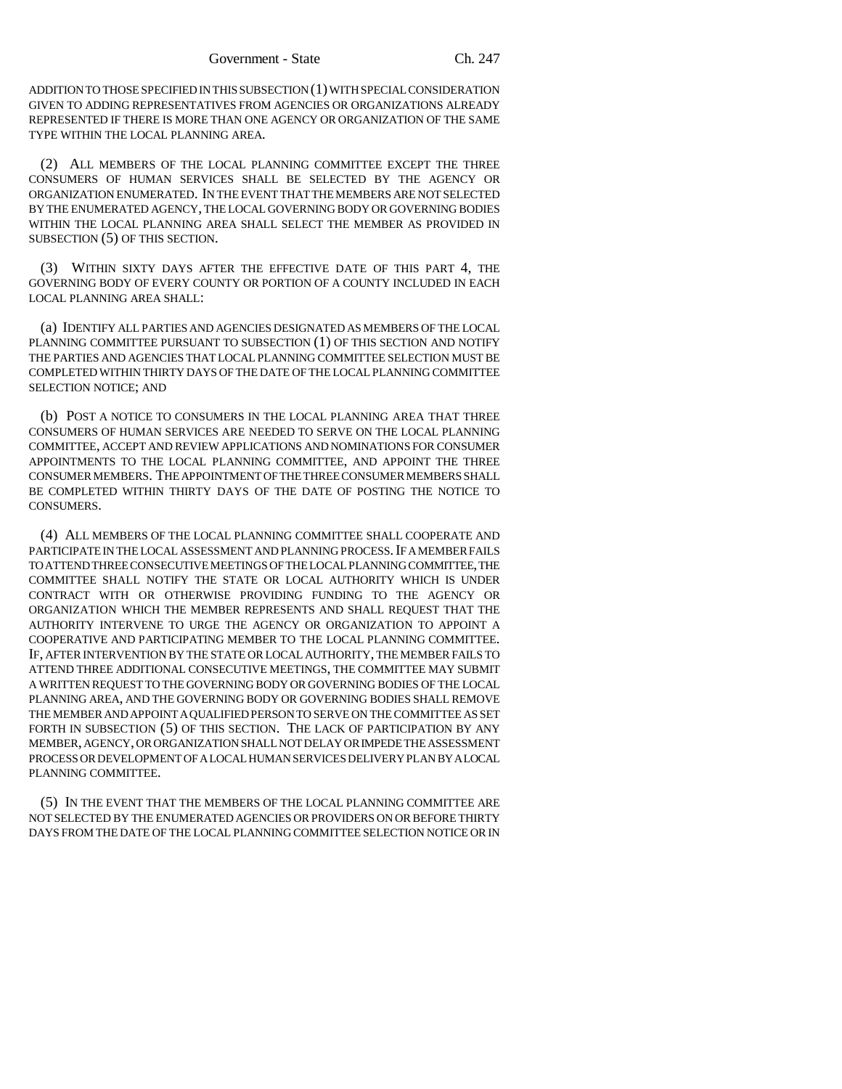ADDITION TO THOSE SPECIFIED IN THIS SUBSECTION (1) WITH SPECIAL CONSIDERATION GIVEN TO ADDING REPRESENTATIVES FROM AGENCIES OR ORGANIZATIONS ALREADY REPRESENTED IF THERE IS MORE THAN ONE AGENCY OR ORGANIZATION OF THE SAME TYPE WITHIN THE LOCAL PLANNING AREA.

(2) ALL MEMBERS OF THE LOCAL PLANNING COMMITTEE EXCEPT THE THREE CONSUMERS OF HUMAN SERVICES SHALL BE SELECTED BY THE AGENCY OR ORGANIZATION ENUMERATED. IN THE EVENT THAT THE MEMBERS ARE NOT SELECTED BY THE ENUMERATED AGENCY, THE LOCAL GOVERNING BODY OR GOVERNING BODIES WITHIN THE LOCAL PLANNING AREA SHALL SELECT THE MEMBER AS PROVIDED IN SUBSECTION (5) OF THIS SECTION.

(3) WITHIN SIXTY DAYS AFTER THE EFFECTIVE DATE OF THIS PART 4, THE GOVERNING BODY OF EVERY COUNTY OR PORTION OF A COUNTY INCLUDED IN EACH LOCAL PLANNING AREA SHALL:

(a) IDENTIFY ALL PARTIES AND AGENCIES DESIGNATED AS MEMBERS OF THE LOCAL PLANNING COMMITTEE PURSUANT TO SUBSECTION (1) OF THIS SECTION AND NOTIFY THE PARTIES AND AGENCIES THAT LOCAL PLANNING COMMITTEE SELECTION MUST BE COMPLETED WITHIN THIRTY DAYS OF THE DATE OF THE LOCAL PLANNING COMMITTEE SELECTION NOTICE; AND

(b) POST A NOTICE TO CONSUMERS IN THE LOCAL PLANNING AREA THAT THREE CONSUMERS OF HUMAN SERVICES ARE NEEDED TO SERVE ON THE LOCAL PLANNING COMMITTEE, ACCEPT AND REVIEW APPLICATIONS AND NOMINATIONS FOR CONSUMER APPOINTMENTS TO THE LOCAL PLANNING COMMITTEE, AND APPOINT THE THREE CONSUMER MEMBERS. THE APPOINTMENT OF THE THREE CONSUMER MEMBERS SHALL BE COMPLETED WITHIN THIRTY DAYS OF THE DATE OF POSTING THE NOTICE TO CONSUMERS.

(4) ALL MEMBERS OF THE LOCAL PLANNING COMMITTEE SHALL COOPERATE AND PARTICIPATE IN THE LOCAL ASSESSMENT AND PLANNING PROCESS. IF A MEMBER FAILS TO ATTEND THREE CONSECUTIVE MEETINGS OF THE LOCAL PLANNING COMMITTEE, THE COMMITTEE SHALL NOTIFY THE STATE OR LOCAL AUTHORITY WHICH IS UNDER CONTRACT WITH OR OTHERWISE PROVIDING FUNDING TO THE AGENCY OR ORGANIZATION WHICH THE MEMBER REPRESENTS AND SHALL REQUEST THAT THE AUTHORITY INTERVENE TO URGE THE AGENCY OR ORGANIZATION TO APPOINT A COOPERATIVE AND PARTICIPATING MEMBER TO THE LOCAL PLANNING COMMITTEE. IF, AFTER INTERVENTION BY THE STATE OR LOCAL AUTHORITY, THE MEMBER FAILS TO ATTEND THREE ADDITIONAL CONSECUTIVE MEETINGS, THE COMMITTEE MAY SUBMIT A WRITTEN REQUEST TO THE GOVERNING BODY OR GOVERNING BODIES OF THE LOCAL PLANNING AREA, AND THE GOVERNING BODY OR GOVERNING BODIES SHALL REMOVE THE MEMBER AND APPOINT A QUALIFIED PERSON TO SERVE ON THE COMMITTEE AS SET FORTH IN SUBSECTION (5) OF THIS SECTION. THE LACK OF PARTICIPATION BY ANY MEMBER, AGENCY, OR ORGANIZATION SHALL NOT DELAY OR IMPEDE THE ASSESSMENT PROCESS OR DEVELOPMENT OF A LOCAL HUMAN SERVICES DELIVERY PLAN BY A LOCAL PLANNING COMMITTEE.

(5) IN THE EVENT THAT THE MEMBERS OF THE LOCAL PLANNING COMMITTEE ARE NOT SELECTED BY THE ENUMERATED AGENCIES OR PROVIDERS ON OR BEFORE THIRTY DAYS FROM THE DATE OF THE LOCAL PLANNING COMMITTEE SELECTION NOTICE OR IN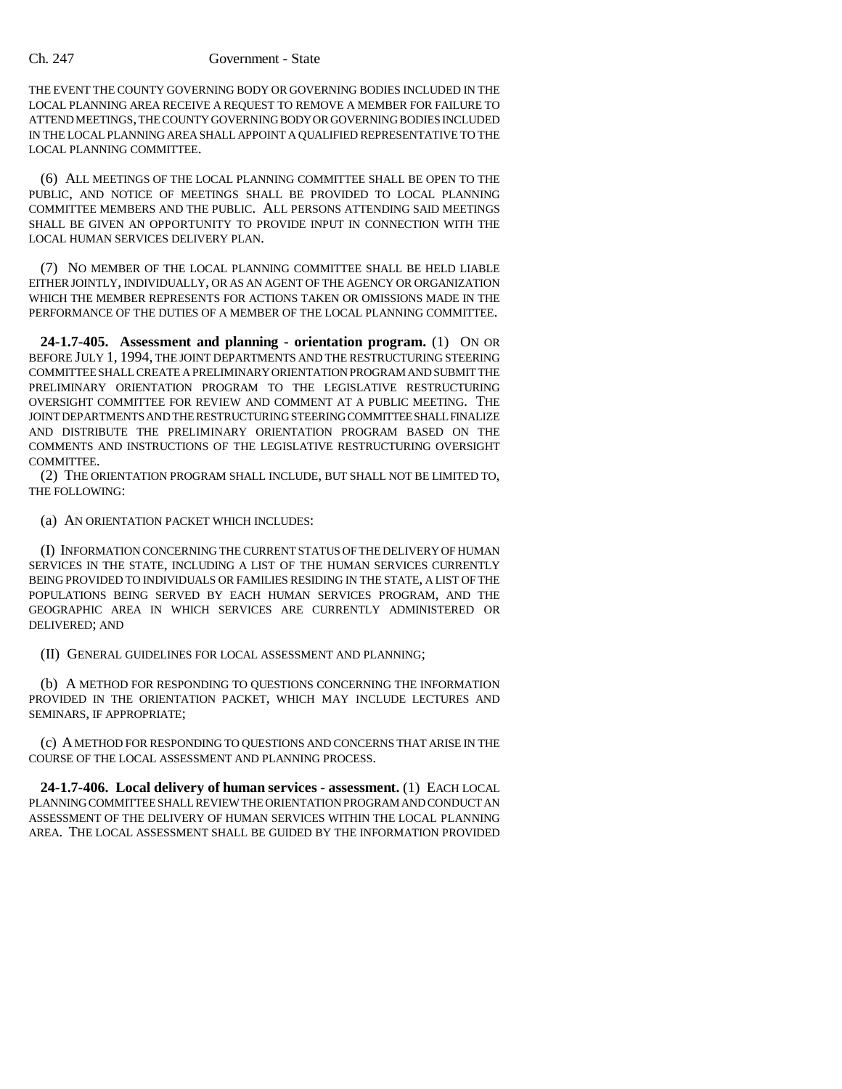### Ch. 247 Government - State

THE EVENT THE COUNTY GOVERNING BODY OR GOVERNING BODIES INCLUDED IN THE LOCAL PLANNING AREA RECEIVE A REQUEST TO REMOVE A MEMBER FOR FAILURE TO ATTEND MEETINGS, THE COUNTY GOVERNING BODY OR GOVERNING BODIES INCLUDED IN THE LOCAL PLANNING AREA SHALL APPOINT A QUALIFIED REPRESENTATIVE TO THE LOCAL PLANNING COMMITTEE.

(6) ALL MEETINGS OF THE LOCAL PLANNING COMMITTEE SHALL BE OPEN TO THE PUBLIC, AND NOTICE OF MEETINGS SHALL BE PROVIDED TO LOCAL PLANNING COMMITTEE MEMBERS AND THE PUBLIC. ALL PERSONS ATTENDING SAID MEETINGS SHALL BE GIVEN AN OPPORTUNITY TO PROVIDE INPUT IN CONNECTION WITH THE LOCAL HUMAN SERVICES DELIVERY PLAN.

(7) NO MEMBER OF THE LOCAL PLANNING COMMITTEE SHALL BE HELD LIABLE EITHER JOINTLY, INDIVIDUALLY, OR AS AN AGENT OF THE AGENCY OR ORGANIZATION WHICH THE MEMBER REPRESENTS FOR ACTIONS TAKEN OR OMISSIONS MADE IN THE PERFORMANCE OF THE DUTIES OF A MEMBER OF THE LOCAL PLANNING COMMITTEE.

**24-1.7-405. Assessment and planning - orientation program.** (1) ON OR BEFORE JULY 1, 1994, THE JOINT DEPARTMENTS AND THE RESTRUCTURING STEERING COMMITTEE SHALL CREATE A PRELIMINARY ORIENTATION PROGRAM AND SUBMIT THE PRELIMINARY ORIENTATION PROGRAM TO THE LEGISLATIVE RESTRUCTURING OVERSIGHT COMMITTEE FOR REVIEW AND COMMENT AT A PUBLIC MEETING. THE JOINT DEPARTMENTS AND THE RESTRUCTURING STEERING COMMITTEE SHALL FINALIZE AND DISTRIBUTE THE PRELIMINARY ORIENTATION PROGRAM BASED ON THE COMMENTS AND INSTRUCTIONS OF THE LEGISLATIVE RESTRUCTURING OVERSIGHT **COMMITTEE.** 

(2) THE ORIENTATION PROGRAM SHALL INCLUDE, BUT SHALL NOT BE LIMITED TO, THE FOLLOWING:

(a) AN ORIENTATION PACKET WHICH INCLUDES:

(I) INFORMATION CONCERNING THE CURRENT STATUS OF THE DELIVERY OF HUMAN SERVICES IN THE STATE, INCLUDING A LIST OF THE HUMAN SERVICES CURRENTLY BEING PROVIDED TO INDIVIDUALS OR FAMILIES RESIDING IN THE STATE, A LIST OF THE POPULATIONS BEING SERVED BY EACH HUMAN SERVICES PROGRAM, AND THE GEOGRAPHIC AREA IN WHICH SERVICES ARE CURRENTLY ADMINISTERED OR DELIVERED; AND

(II) GENERAL GUIDELINES FOR LOCAL ASSESSMENT AND PLANNING;

(b) A METHOD FOR RESPONDING TO QUESTIONS CONCERNING THE INFORMATION PROVIDED IN THE ORIENTATION PACKET, WHICH MAY INCLUDE LECTURES AND SEMINARS, IF APPROPRIATE;

(c) A METHOD FOR RESPONDING TO QUESTIONS AND CONCERNS THAT ARISE IN THE COURSE OF THE LOCAL ASSESSMENT AND PLANNING PROCESS.

**24-1.7-406. Local delivery of human services - assessment.** (1) EACH LOCAL PLANNING COMMITTEE SHALL REVIEW THE ORIENTATION PROGRAM AND CONDUCT AN ASSESSMENT OF THE DELIVERY OF HUMAN SERVICES WITHIN THE LOCAL PLANNING AREA. THE LOCAL ASSESSMENT SHALL BE GUIDED BY THE INFORMATION PROVIDED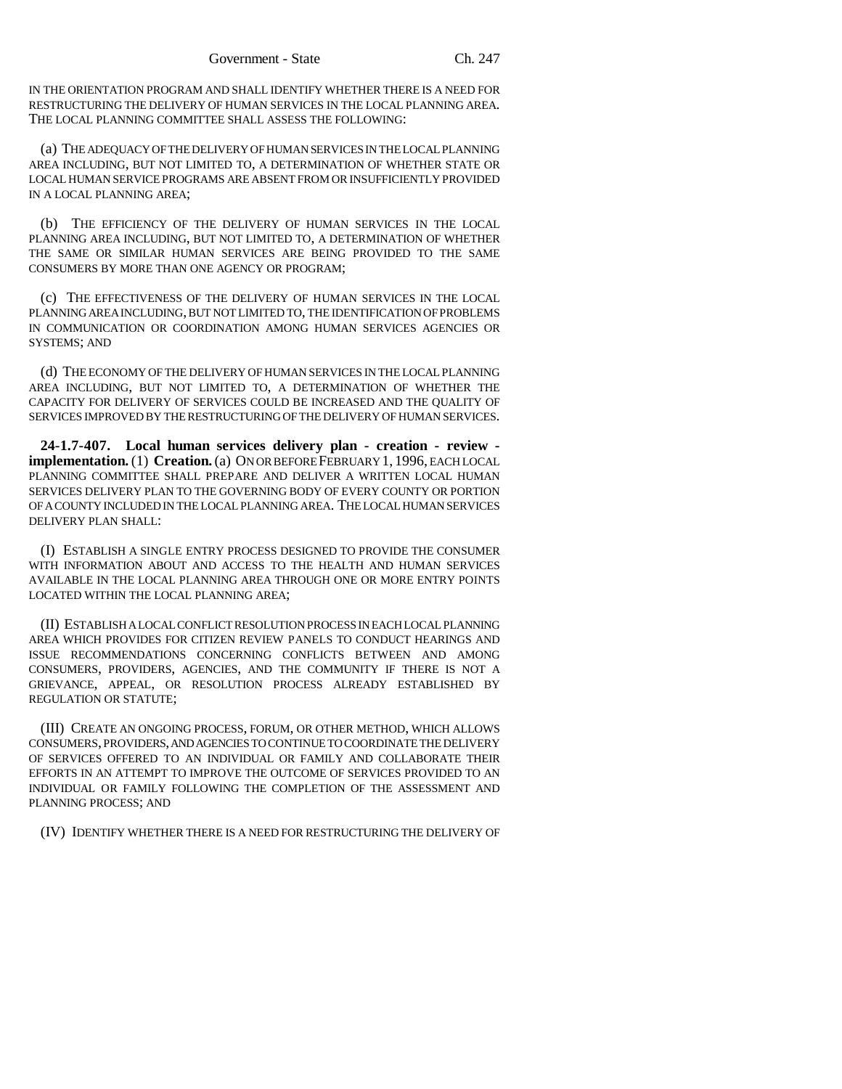IN THE ORIENTATION PROGRAM AND SHALL IDENTIFY WHETHER THERE IS A NEED FOR RESTRUCTURING THE DELIVERY OF HUMAN SERVICES IN THE LOCAL PLANNING AREA. THE LOCAL PLANNING COMMITTEE SHALL ASSESS THE FOLLOWING:

(a) THE ADEQUACY OF THE DELIVERY OF HUMAN SERVICES IN THE LOCAL PLANNING AREA INCLUDING, BUT NOT LIMITED TO, A DETERMINATION OF WHETHER STATE OR LOCAL HUMAN SERVICE PROGRAMS ARE ABSENT FROM OR INSUFFICIENTLY PROVIDED IN A LOCAL PLANNING AREA;

(b) THE EFFICIENCY OF THE DELIVERY OF HUMAN SERVICES IN THE LOCAL PLANNING AREA INCLUDING, BUT NOT LIMITED TO, A DETERMINATION OF WHETHER THE SAME OR SIMILAR HUMAN SERVICES ARE BEING PROVIDED TO THE SAME CONSUMERS BY MORE THAN ONE AGENCY OR PROGRAM;

(c) THE EFFECTIVENESS OF THE DELIVERY OF HUMAN SERVICES IN THE LOCAL PLANNING AREA INCLUDING, BUT NOT LIMITED TO, THE IDENTIFICATION OF PROBLEMS IN COMMUNICATION OR COORDINATION AMONG HUMAN SERVICES AGENCIES OR SYSTEMS; AND

(d) THE ECONOMY OF THE DELIVERY OF HUMAN SERVICES IN THE LOCAL PLANNING AREA INCLUDING, BUT NOT LIMITED TO, A DETERMINATION OF WHETHER THE CAPACITY FOR DELIVERY OF SERVICES COULD BE INCREASED AND THE QUALITY OF SERVICES IMPROVED BY THE RESTRUCTURING OF THE DELIVERY OF HUMAN SERVICES.

**24-1.7-407. Local human services delivery plan - creation - review implementation.** (1) **Creation.** (a) ON OR BEFORE FEBRUARY 1, 1996, EACH LOCAL PLANNING COMMITTEE SHALL PREPARE AND DELIVER A WRITTEN LOCAL HUMAN SERVICES DELIVERY PLAN TO THE GOVERNING BODY OF EVERY COUNTY OR PORTION OF A COUNTY INCLUDED IN THE LOCAL PLANNING AREA. THE LOCAL HUMAN SERVICES DELIVERY PLAN SHALL:

(I) ESTABLISH A SINGLE ENTRY PROCESS DESIGNED TO PROVIDE THE CONSUMER WITH INFORMATION ABOUT AND ACCESS TO THE HEALTH AND HUMAN SERVICES AVAILABLE IN THE LOCAL PLANNING AREA THROUGH ONE OR MORE ENTRY POINTS LOCATED WITHIN THE LOCAL PLANNING AREA;

(II) ESTABLISH A LOCAL CONFLICT RESOLUTION PROCESS IN EACH LOCAL PLANNING AREA WHICH PROVIDES FOR CITIZEN REVIEW PANELS TO CONDUCT HEARINGS AND ISSUE RECOMMENDATIONS CONCERNING CONFLICTS BETWEEN AND AMONG CONSUMERS, PROVIDERS, AGENCIES, AND THE COMMUNITY IF THERE IS NOT A GRIEVANCE, APPEAL, OR RESOLUTION PROCESS ALREADY ESTABLISHED BY REGULATION OR STATUTE;

(III) CREATE AN ONGOING PROCESS, FORUM, OR OTHER METHOD, WHICH ALLOWS CONSUMERS, PROVIDERS, AND AGENCIES TO CONTINUE TO COORDINATE THE DELIVERY OF SERVICES OFFERED TO AN INDIVIDUAL OR FAMILY AND COLLABORATE THEIR EFFORTS IN AN ATTEMPT TO IMPROVE THE OUTCOME OF SERVICES PROVIDED TO AN INDIVIDUAL OR FAMILY FOLLOWING THE COMPLETION OF THE ASSESSMENT AND PLANNING PROCESS; AND

(IV) IDENTIFY WHETHER THERE IS A NEED FOR RESTRUCTURING THE DELIVERY OF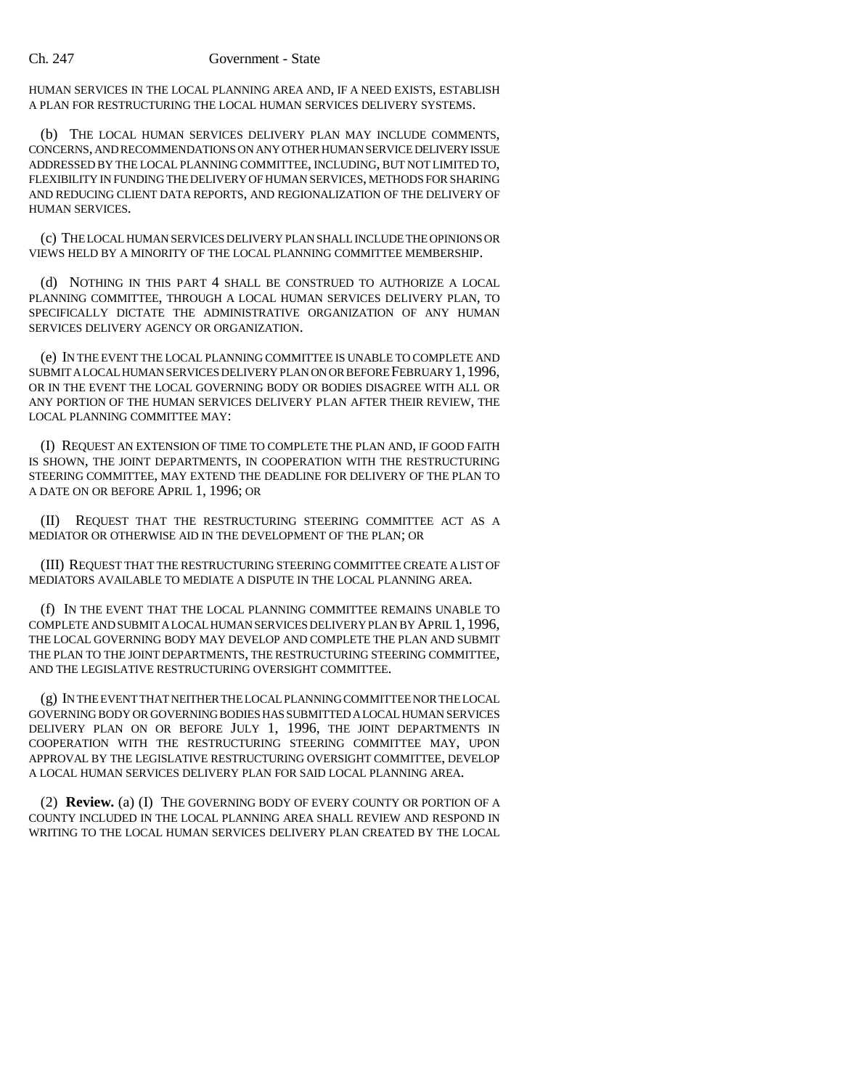### Ch. 247 Government - State

HUMAN SERVICES IN THE LOCAL PLANNING AREA AND, IF A NEED EXISTS, ESTABLISH A PLAN FOR RESTRUCTURING THE LOCAL HUMAN SERVICES DELIVERY SYSTEMS.

(b) THE LOCAL HUMAN SERVICES DELIVERY PLAN MAY INCLUDE COMMENTS, CONCERNS, AND RECOMMENDATIONS ON ANY OTHER HUMAN SERVICE DELIVERY ISSUE ADDRESSED BY THE LOCAL PLANNING COMMITTEE, INCLUDING, BUT NOT LIMITED TO, FLEXIBILITY IN FUNDING THE DELIVERY OF HUMAN SERVICES, METHODS FOR SHARING AND REDUCING CLIENT DATA REPORTS, AND REGIONALIZATION OF THE DELIVERY OF HUMAN SERVICES.

(c) THE LOCAL HUMAN SERVICES DELIVERY PLAN SHALL INCLUDE THE OPINIONS OR VIEWS HELD BY A MINORITY OF THE LOCAL PLANNING COMMITTEE MEMBERSHIP.

(d) NOTHING IN THIS PART 4 SHALL BE CONSTRUED TO AUTHORIZE A LOCAL PLANNING COMMITTEE, THROUGH A LOCAL HUMAN SERVICES DELIVERY PLAN, TO SPECIFICALLY DICTATE THE ADMINISTRATIVE ORGANIZATION OF ANY HUMAN SERVICES DELIVERY AGENCY OR ORGANIZATION.

(e) IN THE EVENT THE LOCAL PLANNING COMMITTEE IS UNABLE TO COMPLETE AND SUBMIT A LOCAL HUMAN SERVICES DELIVERY PLAN ON OR BEFORE FEBRUARY 1,1996, OR IN THE EVENT THE LOCAL GOVERNING BODY OR BODIES DISAGREE WITH ALL OR ANY PORTION OF THE HUMAN SERVICES DELIVERY PLAN AFTER THEIR REVIEW, THE LOCAL PLANNING COMMITTEE MAY:

(I) REQUEST AN EXTENSION OF TIME TO COMPLETE THE PLAN AND, IF GOOD FAITH IS SHOWN, THE JOINT DEPARTMENTS, IN COOPERATION WITH THE RESTRUCTURING STEERING COMMITTEE, MAY EXTEND THE DEADLINE FOR DELIVERY OF THE PLAN TO A DATE ON OR BEFORE APRIL 1, 1996; OR

(II) REQUEST THAT THE RESTRUCTURING STEERING COMMITTEE ACT AS A MEDIATOR OR OTHERWISE AID IN THE DEVELOPMENT OF THE PLAN; OR

(III) REQUEST THAT THE RESTRUCTURING STEERING COMMITTEE CREATE A LIST OF MEDIATORS AVAILABLE TO MEDIATE A DISPUTE IN THE LOCAL PLANNING AREA.

(f) IN THE EVENT THAT THE LOCAL PLANNING COMMITTEE REMAINS UNABLE TO COMPLETE AND SUBMIT A LOCAL HUMAN SERVICES DELIVERY PLAN BY APRIL 1, 1996, THE LOCAL GOVERNING BODY MAY DEVELOP AND COMPLETE THE PLAN AND SUBMIT THE PLAN TO THE JOINT DEPARTMENTS, THE RESTRUCTURING STEERING COMMITTEE, AND THE LEGISLATIVE RESTRUCTURING OVERSIGHT COMMITTEE.

(g) IN THE EVENT THAT NEITHER THE LOCAL PLANNING COMMITTEE NOR THE LOCAL GOVERNING BODY OR GOVERNING BODIES HAS SUBMITTED A LOCAL HUMAN SERVICES DELIVERY PLAN ON OR BEFORE JULY 1, 1996, THE JOINT DEPARTMENTS IN COOPERATION WITH THE RESTRUCTURING STEERING COMMITTEE MAY, UPON APPROVAL BY THE LEGISLATIVE RESTRUCTURING OVERSIGHT COMMITTEE, DEVELOP A LOCAL HUMAN SERVICES DELIVERY PLAN FOR SAID LOCAL PLANNING AREA.

(2) **Review.** (a) (I) THE GOVERNING BODY OF EVERY COUNTY OR PORTION OF A COUNTY INCLUDED IN THE LOCAL PLANNING AREA SHALL REVIEW AND RESPOND IN WRITING TO THE LOCAL HUMAN SERVICES DELIVERY PLAN CREATED BY THE LOCAL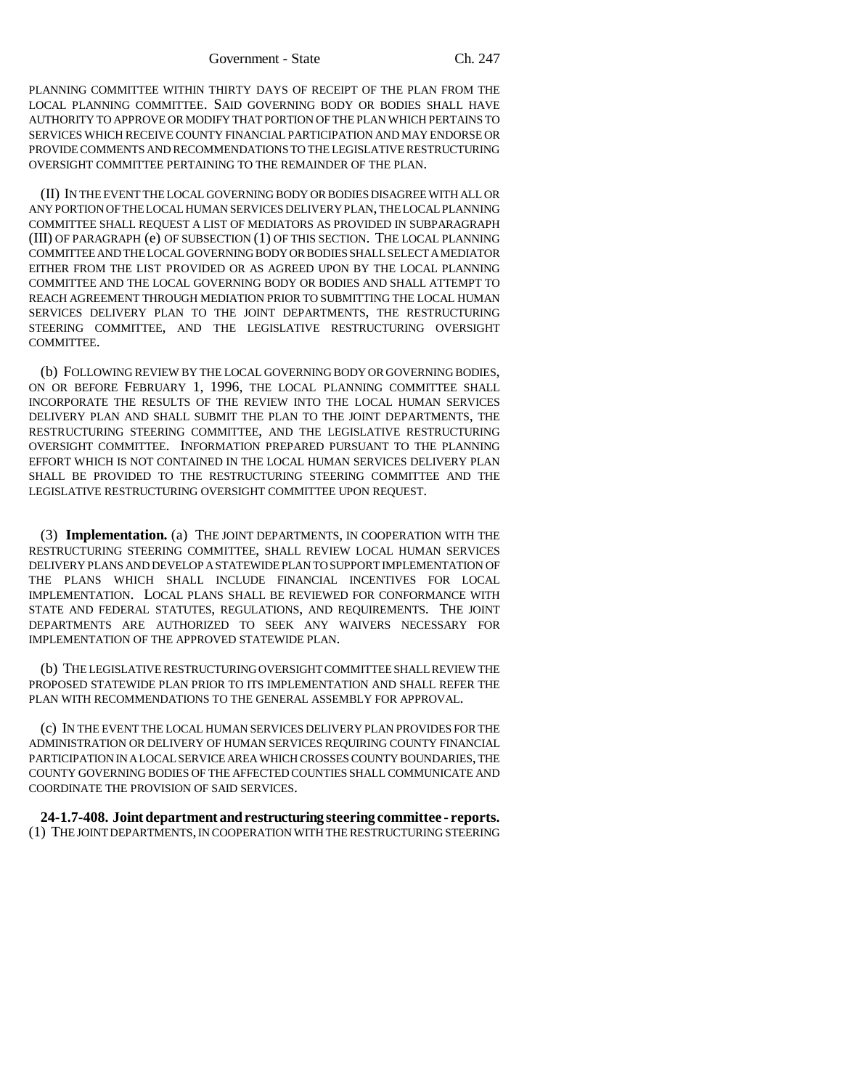PLANNING COMMITTEE WITHIN THIRTY DAYS OF RECEIPT OF THE PLAN FROM THE LOCAL PLANNING COMMITTEE. SAID GOVERNING BODY OR BODIES SHALL HAVE AUTHORITY TO APPROVE OR MODIFY THAT PORTION OF THE PLAN WHICH PERTAINS TO SERVICES WHICH RECEIVE COUNTY FINANCIAL PARTICIPATION AND MAY ENDORSE OR PROVIDE COMMENTS AND RECOMMENDATIONS TO THE LEGISLATIVE RESTRUCTURING OVERSIGHT COMMITTEE PERTAINING TO THE REMAINDER OF THE PLAN.

(II) IN THE EVENT THE LOCAL GOVERNING BODY OR BODIES DISAGREE WITH ALL OR ANY PORTION OF THE LOCAL HUMAN SERVICES DELIVERY PLAN, THE LOCAL PLANNING COMMITTEE SHALL REQUEST A LIST OF MEDIATORS AS PROVIDED IN SUBPARAGRAPH (III) OF PARAGRAPH (e) OF SUBSECTION (1) OF THIS SECTION. THE LOCAL PLANNING COMMITTEE AND THE LOCAL GOVERNING BODY OR BODIES SHALL SELECT A MEDIATOR EITHER FROM THE LIST PROVIDED OR AS AGREED UPON BY THE LOCAL PLANNING COMMITTEE AND THE LOCAL GOVERNING BODY OR BODIES AND SHALL ATTEMPT TO REACH AGREEMENT THROUGH MEDIATION PRIOR TO SUBMITTING THE LOCAL HUMAN SERVICES DELIVERY PLAN TO THE JOINT DEPARTMENTS, THE RESTRUCTURING STEERING COMMITTEE, AND THE LEGISLATIVE RESTRUCTURING OVERSIGHT COMMITTEE.

(b) FOLLOWING REVIEW BY THE LOCAL GOVERNING BODY OR GOVERNING BODIES, ON OR BEFORE FEBRUARY 1, 1996, THE LOCAL PLANNING COMMITTEE SHALL INCORPORATE THE RESULTS OF THE REVIEW INTO THE LOCAL HUMAN SERVICES DELIVERY PLAN AND SHALL SUBMIT THE PLAN TO THE JOINT DEPARTMENTS, THE RESTRUCTURING STEERING COMMITTEE, AND THE LEGISLATIVE RESTRUCTURING OVERSIGHT COMMITTEE. INFORMATION PREPARED PURSUANT TO THE PLANNING EFFORT WHICH IS NOT CONTAINED IN THE LOCAL HUMAN SERVICES DELIVERY PLAN SHALL BE PROVIDED TO THE RESTRUCTURING STEERING COMMITTEE AND THE LEGISLATIVE RESTRUCTURING OVERSIGHT COMMITTEE UPON REQUEST.

(3) **Implementation.** (a) THE JOINT DEPARTMENTS, IN COOPERATION WITH THE RESTRUCTURING STEERING COMMITTEE, SHALL REVIEW LOCAL HUMAN SERVICES DELIVERY PLANS AND DEVELOP A STATEWIDE PLAN TO SUPPORT IMPLEMENTATION OF THE PLANS WHICH SHALL INCLUDE FINANCIAL INCENTIVES FOR LOCAL IMPLEMENTATION. LOCAL PLANS SHALL BE REVIEWED FOR CONFORMANCE WITH STATE AND FEDERAL STATUTES, REGULATIONS, AND REQUIREMENTS. THE JOINT DEPARTMENTS ARE AUTHORIZED TO SEEK ANY WAIVERS NECESSARY FOR IMPLEMENTATION OF THE APPROVED STATEWIDE PLAN.

(b) THE LEGISLATIVE RESTRUCTURING OVERSIGHT COMMITTEE SHALL REVIEW THE PROPOSED STATEWIDE PLAN PRIOR TO ITS IMPLEMENTATION AND SHALL REFER THE PLAN WITH RECOMMENDATIONS TO THE GENERAL ASSEMBLY FOR APPROVAL.

(c) IN THE EVENT THE LOCAL HUMAN SERVICES DELIVERY PLAN PROVIDES FOR THE ADMINISTRATION OR DELIVERY OF HUMAN SERVICES REQUIRING COUNTY FINANCIAL PARTICIPATION IN A LOCAL SERVICE AREA WHICH CROSSES COUNTY BOUNDARIES, THE COUNTY GOVERNING BODIES OF THE AFFECTED COUNTIES SHALL COMMUNICATE AND COORDINATE THE PROVISION OF SAID SERVICES.

**24-1.7-408. Joint department and restructuring steering committee - reports.** (1) THE JOINT DEPARTMENTS, IN COOPERATION WITH THE RESTRUCTURING STEERING